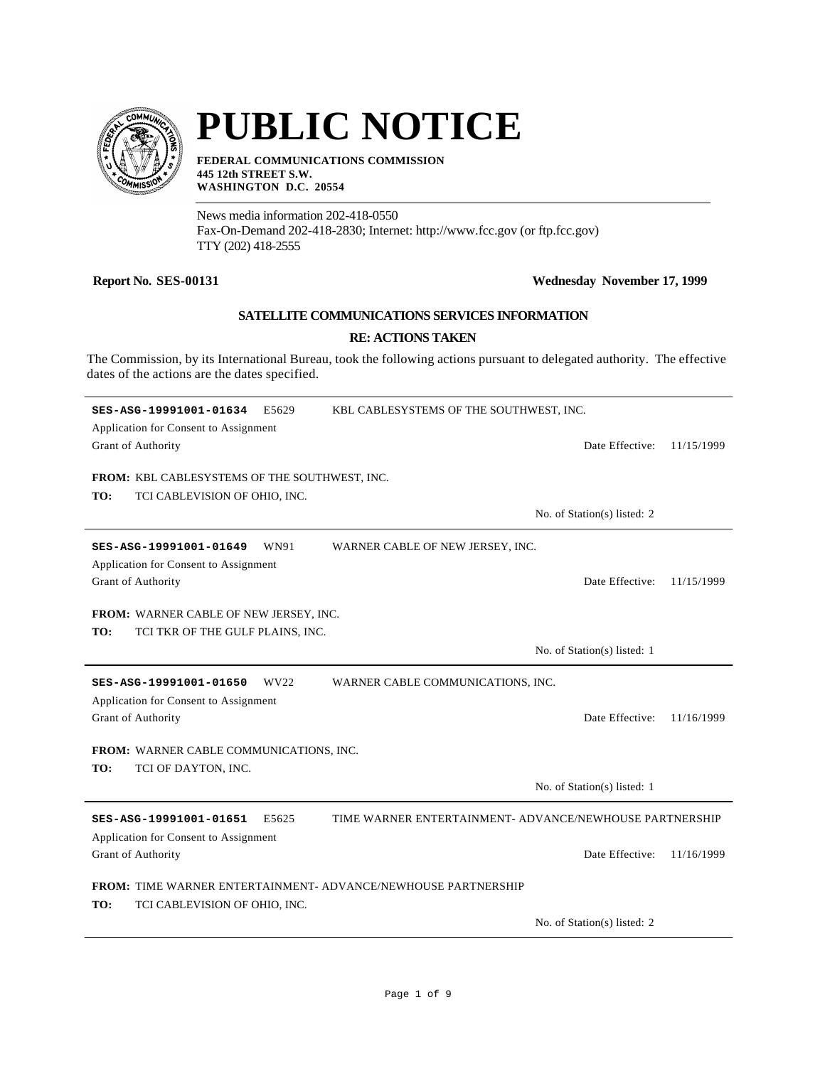

# **PUBLIC NOTICE**

**FEDERAL COMMUNICATIONS COMMISSION 445 12th STREET S.W. WASHINGTON D.C. 20554**

News media information 202-418-0550 Fax-On-Demand 202-418-2830; Internet: http://www.fcc.gov (or ftp.fcc.gov) TTY (202) 418-2555

### **Report No. SES-00131 Wednesday November 17, 1999**

## **SATELLITE COMMUNICATIONS SERVICES INFORMATION**

#### **RE: ACTIONS TAKEN**

The Commission, by its International Bureau, took the following actions pursuant to delegated authority. The effective dates of the actions are the dates specified.

| SES-ASG-19991001-01634<br>E5629                                                                              | KBL CABLESYSTEMS OF THE SOUTHWEST, INC.                 |
|--------------------------------------------------------------------------------------------------------------|---------------------------------------------------------|
| Application for Consent to Assignment                                                                        |                                                         |
| Grant of Authority                                                                                           | Date Effective:<br>11/15/1999                           |
| FROM: KBL CABLESYSTEMS OF THE SOUTHWEST, INC.                                                                |                                                         |
| TO:<br>TCI CABLEVISION OF OHIO, INC.                                                                         |                                                         |
|                                                                                                              | No. of Station(s) listed: 2                             |
| SES-ASG-19991001-01649<br>WN91<br>Application for Consent to Assignment                                      | WARNER CABLE OF NEW JERSEY, INC.                        |
| Grant of Authority                                                                                           | Date Effective:<br>11/15/1999                           |
| FROM: WARNER CABLE OF NEW JERSEY, INC.<br>TO:<br>TCI TKR OF THE GULF PLAINS, INC.                            |                                                         |
|                                                                                                              | No. of Station(s) listed: 1                             |
| SES-ASG-19991001-01650<br>WV <sub>22</sub><br>Application for Consent to Assignment                          | WARNER CABLE COMMUNICATIONS, INC.                       |
| Grant of Authority                                                                                           | Date Effective:<br>11/16/1999                           |
| FROM: WARNER CABLE COMMUNICATIONS, INC.<br>TO:<br>TCI OF DAYTON, INC.                                        |                                                         |
|                                                                                                              | No. of Station(s) listed: 1                             |
| SES-ASG-19991001-01651<br>E5625                                                                              | TIME WARNER ENTERTAINMENT- ADVANCE/NEWHOUSE PARTNERSHIP |
| Application for Consent to Assignment<br>Grant of Authority                                                  | Date Effective:<br>11/16/1999                           |
| <b>FROM: TIME WARNER ENTERTAINMENT- ADVANCE/NEWHOUSE PARTNERSHIP</b><br>TO:<br>TCI CABLEVISION OF OHIO, INC. |                                                         |
|                                                                                                              | No. of Station(s) listed: 2                             |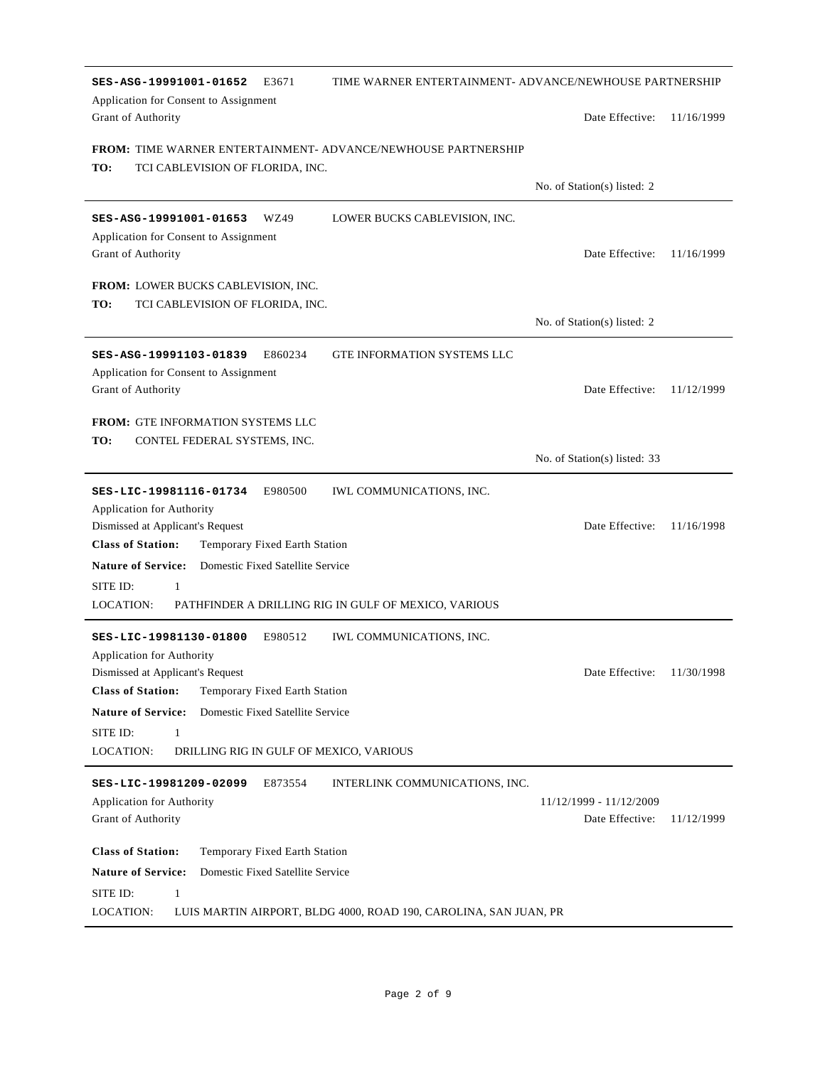| TIME WARNER ENTERTAINMENT- ADVANCE/NEWHOUSE PARTNERSHIP<br>SES-ASG-19991001-01652<br>E3671<br>Application for Consent to Assignment |                              |            |
|-------------------------------------------------------------------------------------------------------------------------------------|------------------------------|------------|
| Grant of Authority                                                                                                                  | Date Effective:              | 11/16/1999 |
| <b>FROM: TIME WARNER ENTERTAINMENT- ADVANCE/NEWHOUSE PARTNERSHIP</b><br>TO:<br>TCI CABLEVISION OF FLORIDA, INC.                     |                              |            |
|                                                                                                                                     | No. of Station(s) listed: 2  |            |
| WZ49<br>LOWER BUCKS CABLEVISION, INC.<br>SES-ASG-19991001-01653<br>Application for Consent to Assignment                            |                              |            |
| Grant of Authority                                                                                                                  | Date Effective:              | 11/16/1999 |
| <b>FROM: LOWER BUCKS CABLEVISION, INC.</b><br>TO:<br>TCI CABLEVISION OF FLORIDA, INC.                                               |                              |            |
|                                                                                                                                     | No. of Station(s) listed: 2  |            |
| SES-ASG-19991103-01839<br>E860234<br><b>GTE INFORMATION SYSTEMS LLC</b><br>Application for Consent to Assignment                    |                              |            |
| Grant of Authority                                                                                                                  | Date Effective:              | 11/12/1999 |
| <b>FROM: GTE INFORMATION SYSTEMS LLC</b>                                                                                            |                              |            |
| TO:<br>CONTEL FEDERAL SYSTEMS, INC.                                                                                                 |                              |            |
|                                                                                                                                     | No. of Station(s) listed: 33 |            |
| SES-LIC-19981116-01734<br>E980500<br>IWL COMMUNICATIONS, INC.<br>Application for Authority                                          |                              |            |
| Dismissed at Applicant's Request                                                                                                    | Date Effective:              | 11/16/1998 |
| <b>Class of Station:</b><br>Temporary Fixed Earth Station<br>Domestic Fixed Satellite Service<br><b>Nature of Service:</b>          |                              |            |
| SITE ID:<br>1                                                                                                                       |                              |            |
| LOCATION:<br>PATHFINDER A DRILLING RIG IN GULF OF MEXICO, VARIOUS                                                                   |                              |            |
| E980512<br>SES-LIC-19981130-01800<br><b>IWL COMMUNICATIONS, INC.</b><br>Application for Authority                                   |                              |            |
| Dismissed at Applicant's Request                                                                                                    | Date Effective: 11/30/1998   |            |
| <b>Class of Station:</b><br>Temporary Fixed Earth Station                                                                           |                              |            |
| <b>Nature of Service:</b><br>Domestic Fixed Satellite Service                                                                       |                              |            |
| SITE ID:<br>1                                                                                                                       |                              |            |
| LOCATION:<br>DRILLING RIG IN GULF OF MEXICO, VARIOUS                                                                                |                              |            |
| SES-LIC-19981209-02099<br>E873554<br>INTERLINK COMMUNICATIONS, INC.<br><b>Application for Authority</b>                             | 11/12/1999 - 11/12/2009      |            |
| Grant of Authority                                                                                                                  | Date Effective:              | 11/12/1999 |
| <b>Class of Station:</b><br>Temporary Fixed Earth Station                                                                           |                              |            |
| Domestic Fixed Satellite Service<br><b>Nature of Service:</b>                                                                       |                              |            |
| SITE ID:<br>$\mathbf{1}$<br>LOCATION:<br>LUIS MARTIN AIRPORT, BLDG 4000, ROAD 190, CAROLINA, SAN JUAN, PR                           |                              |            |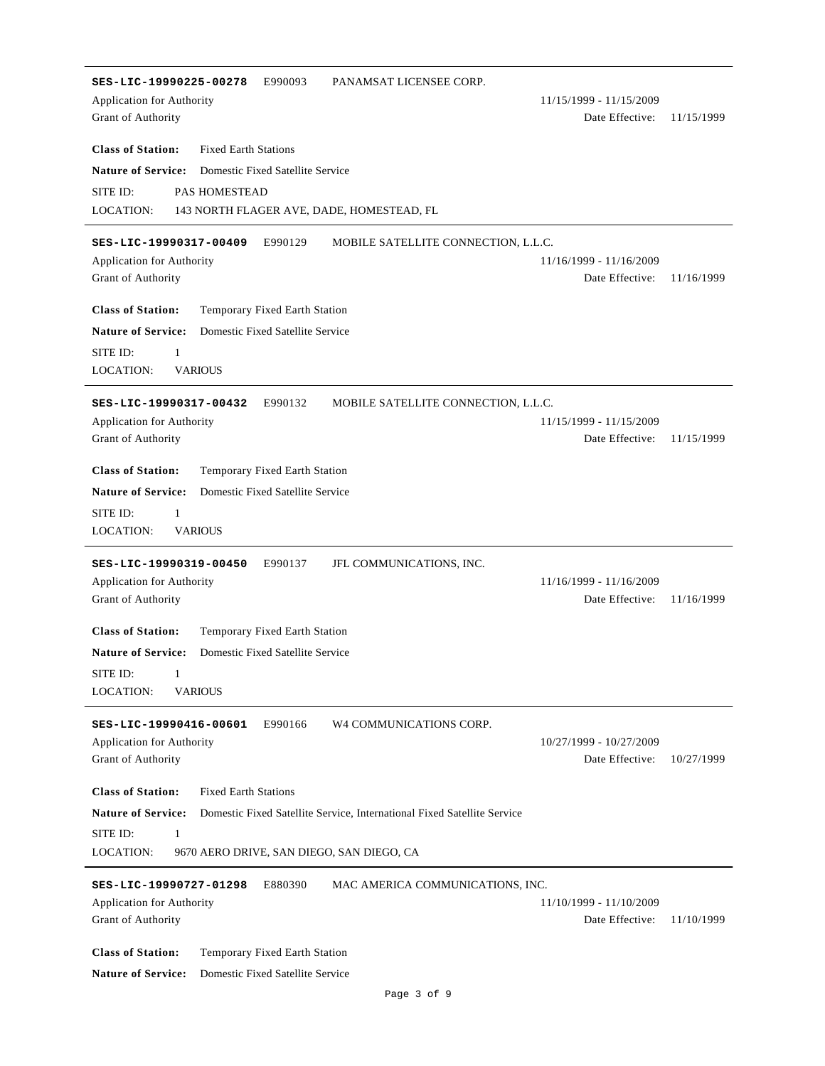| PANAMSAT LICENSEE CORP.<br>SES-LIC-19990225-00278<br>E990093                                         |                                            |            |
|------------------------------------------------------------------------------------------------------|--------------------------------------------|------------|
| Application for Authority                                                                            | 11/15/1999 - 11/15/2009                    |            |
| Grant of Authority                                                                                   | Date Effective:                            | 11/15/1999 |
|                                                                                                      |                                            |            |
| <b>Class of Station:</b><br><b>Fixed Earth Stations</b>                                              |                                            |            |
| <b>Nature of Service:</b><br>Domestic Fixed Satellite Service                                        |                                            |            |
| SITE ID:<br>PAS HOMESTEAD                                                                            |                                            |            |
| LOCATION:<br>143 NORTH FLAGER AVE, DADE, HOMESTEAD, FL                                               |                                            |            |
|                                                                                                      |                                            |            |
| SES-LIC-19990317-00409<br>E990129<br>MOBILE SATELLITE CONNECTION, L.L.C.                             |                                            |            |
| <b>Application for Authority</b><br>Grant of Authority                                               | 11/16/1999 - 11/16/2009<br>Date Effective: | 11/16/1999 |
|                                                                                                      |                                            |            |
| <b>Class of Station:</b><br>Temporary Fixed Earth Station                                            |                                            |            |
| <b>Nature of Service:</b><br>Domestic Fixed Satellite Service                                        |                                            |            |
| SITE ID:<br>1                                                                                        |                                            |            |
| <b>LOCATION:</b><br><b>VARIOUS</b>                                                                   |                                            |            |
|                                                                                                      |                                            |            |
| SES-LIC-19990317-00432<br>E990132<br>MOBILE SATELLITE CONNECTION, L.L.C.                             |                                            |            |
| Application for Authority                                                                            | 11/15/1999 - 11/15/2009                    |            |
| Grant of Authority                                                                                   | Date Effective:                            | 11/15/1999 |
|                                                                                                      |                                            |            |
| <b>Class of Station:</b><br>Temporary Fixed Earth Station                                            |                                            |            |
| Domestic Fixed Satellite Service<br><b>Nature of Service:</b>                                        |                                            |            |
| SITE ID:<br>1                                                                                        |                                            |            |
| <b>VARIOUS</b><br>LOCATION:                                                                          |                                            |            |
| SES-LIC-19990319-00450<br>E990137<br>JFL COMMUNICATIONS, INC.                                        |                                            |            |
| Application for Authority                                                                            | 11/16/1999 - 11/16/2009                    |            |
| Grant of Authority                                                                                   | Date Effective:                            | 11/16/1999 |
|                                                                                                      |                                            |            |
| <b>Class of Station:</b><br>Temporary Fixed Earth Station                                            |                                            |            |
| <b>Nature of Service:</b><br>Domestic Fixed Satellite Service                                        |                                            |            |
| SITE ID:<br>$\begin{array}{ccc} \hline \end{array}$                                                  |                                            |            |
| LOCATION:<br><b>VARIOUS</b>                                                                          |                                            |            |
|                                                                                                      |                                            |            |
| E990166<br>W4 COMMUNICATIONS CORP.<br>SES-LIC-19990416-00601                                         |                                            |            |
| <b>Application for Authority</b>                                                                     | 10/27/1999 - 10/27/2009                    |            |
| Grant of Authority                                                                                   | Date Effective:                            | 10/27/1999 |
| <b>Class of Station:</b><br><b>Fixed Earth Stations</b>                                              |                                            |            |
| <b>Nature of Service:</b><br>Domestic Fixed Satellite Service, International Fixed Satellite Service |                                            |            |
|                                                                                                      |                                            |            |
| SITE ID:<br>1                                                                                        |                                            |            |
| <b>LOCATION:</b><br>9670 AERO DRIVE, SAN DIEGO, SAN DIEGO, CA                                        |                                            |            |
| SES-LIC-19990727-01298<br>E880390<br>MAC AMERICA COMMUNICATIONS, INC.                                |                                            |            |
| Application for Authority                                                                            | 11/10/1999 - 11/10/2009                    |            |
| Grant of Authority                                                                                   | Date Effective:                            | 11/10/1999 |
|                                                                                                      |                                            |            |
| <b>Class of Station:</b><br>Temporary Fixed Earth Station                                            |                                            |            |
| <b>Nature of Service:</b><br>Domestic Fixed Satellite Service                                        |                                            |            |
| Page 3 of 9                                                                                          |                                            |            |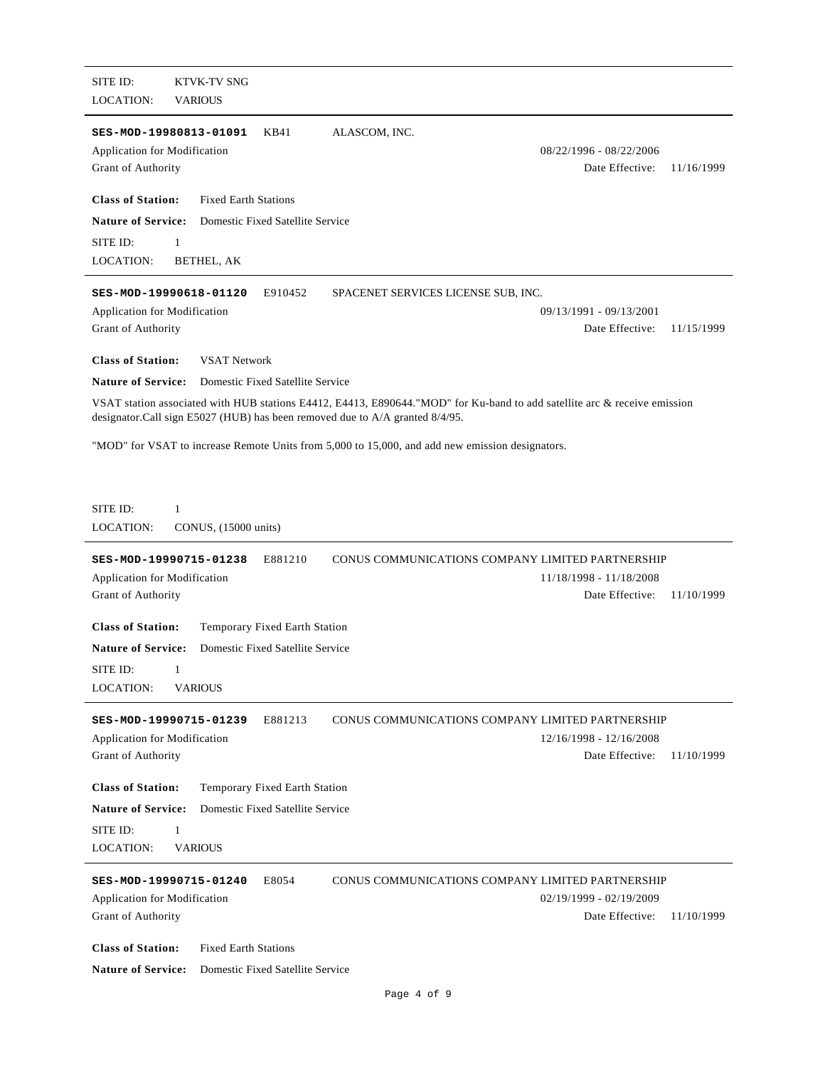| SITE ID:<br><b>KTVK-TV SNG</b><br><b>LOCATION:</b><br><b>VARIOUS</b>                                                                                                                                      |                                            |            |
|-----------------------------------------------------------------------------------------------------------------------------------------------------------------------------------------------------------|--------------------------------------------|------------|
| SES-MOD-19980813-01091<br>KB41<br>ALASCOM, INC.<br>Application for Modification<br>Grant of Authority                                                                                                     | 08/22/1996 - 08/22/2006<br>Date Effective: | 11/16/1999 |
| <b>Class of Station:</b><br><b>Fixed Earth Stations</b>                                                                                                                                                   |                                            |            |
| <b>Nature of Service:</b><br>Domestic Fixed Satellite Service                                                                                                                                             |                                            |            |
| SITE ID:<br>1<br><b>LOCATION:</b><br>BETHEL, AK                                                                                                                                                           |                                            |            |
| SES-MOD-19990618-01120<br>E910452<br>SPACENET SERVICES LICENSE SUB, INC.                                                                                                                                  |                                            |            |
| Application for Modification<br>Grant of Authority                                                                                                                                                        | 09/13/1991 - 09/13/2001<br>Date Effective: | 11/15/1999 |
| <b>Class of Station:</b><br><b>VSAT Network</b>                                                                                                                                                           |                                            |            |
| <b>Nature of Service:</b><br>Domestic Fixed Satellite Service                                                                                                                                             |                                            |            |
| VSAT station associated with HUB stations E4412, E4413, E890644."MOD" for Ku-band to add satellite arc & receive emission<br>designator.Call sign E5027 (HUB) has been removed due to A/A granted 8/4/95. |                                            |            |
| "MOD" for VSAT to increase Remote Units from 5,000 to 15,000, and add new emission designators.                                                                                                           |                                            |            |
|                                                                                                                                                                                                           |                                            |            |
| SITE ID:<br>1<br><b>LOCATION:</b><br>CONUS, (15000 units)                                                                                                                                                 |                                            |            |
| E881210<br>CONUS COMMUNICATIONS COMPANY LIMITED PARTNERSHIP<br>SES-MOD-19990715-01238                                                                                                                     |                                            |            |
| Application for Modification                                                                                                                                                                              | 11/18/1998 - 11/18/2008                    |            |
| Grant of Authority                                                                                                                                                                                        | Date Effective:                            | 11/10/1999 |
| <b>Class of Station:</b><br>Temporary Fixed Earth Station                                                                                                                                                 |                                            |            |
| <b>Nature of Service:</b><br>Domestic Fixed Satellite Service                                                                                                                                             |                                            |            |
| SITE ID:<br>1                                                                                                                                                                                             |                                            |            |
| <b>LOCATION:</b><br><b>VARIOUS</b>                                                                                                                                                                        |                                            |            |
| E881213<br>CONUS COMMUNICATIONS COMPANY LIMITED PARTNERSHIP<br>SES-MOD-19990715-01239                                                                                                                     |                                            |            |
| Application for Modification<br>Grant of Authority                                                                                                                                                        | 12/16/1998 - 12/16/2008<br>Date Effective: | 11/10/1999 |
|                                                                                                                                                                                                           |                                            |            |
| <b>Class of Station:</b><br>Temporary Fixed Earth Station                                                                                                                                                 |                                            |            |
| <b>Nature of Service:</b><br>Domestic Fixed Satellite Service<br>SITE ID:<br>1                                                                                                                            |                                            |            |
| <b>LOCATION:</b><br><b>VARIOUS</b>                                                                                                                                                                        |                                            |            |
| CONUS COMMUNICATIONS COMPANY LIMITED PARTNERSHIP                                                                                                                                                          |                                            |            |
| E8054<br>SES-MOD-19990715-01240<br>Application for Modification                                                                                                                                           | 02/19/1999 - 02/19/2009                    |            |
| Grant of Authority                                                                                                                                                                                        | Date Effective:                            | 11/10/1999 |
| <b>Class of Station:</b><br><b>Fixed Earth Stations</b>                                                                                                                                                   |                                            |            |
| <b>Nature of Service:</b><br>Domestic Fixed Satellite Service                                                                                                                                             |                                            |            |
|                                                                                                                                                                                                           |                                            |            |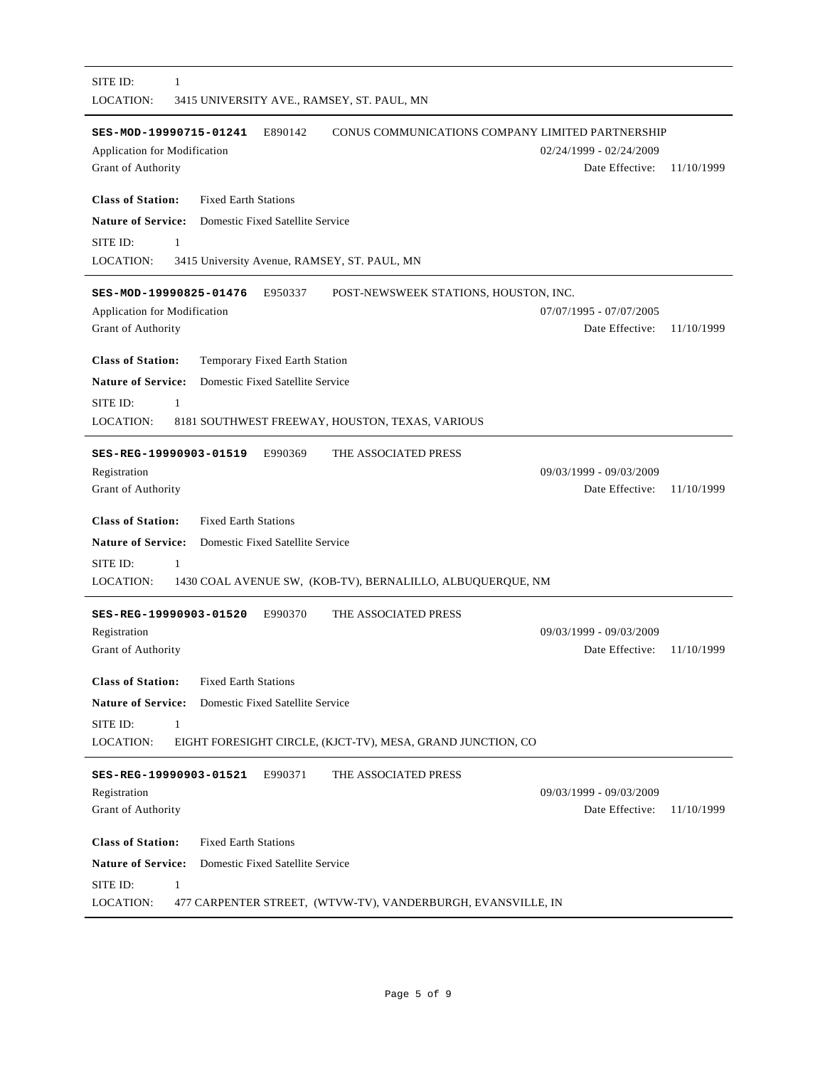| SITE ID:<br>$\mathbf{1}$<br>LOCATION:<br>3415 UNIVERSITY AVE., RAMSEY, ST. PAUL, MN                                                                |                                            |            |
|----------------------------------------------------------------------------------------------------------------------------------------------------|--------------------------------------------|------------|
| CONUS COMMUNICATIONS COMPANY LIMITED PARTNERSHIP<br>SES-MOD-19990715-01241<br>E890142<br><b>Application for Modification</b><br>Grant of Authority | 02/24/1999 - 02/24/2009<br>Date Effective: | 11/10/1999 |
| <b>Class of Station:</b><br><b>Fixed Earth Stations</b>                                                                                            |                                            |            |
| <b>Nature of Service:</b><br>Domestic Fixed Satellite Service                                                                                      |                                            |            |
| SITE ID:<br>1                                                                                                                                      |                                            |            |
| LOCATION:<br>3415 University Avenue, RAMSEY, ST. PAUL, MN                                                                                          |                                            |            |
| SES-MOD-19990825-01476<br>E950337<br>POST-NEWSWEEK STATIONS, HOUSTON, INC.                                                                         |                                            |            |
| Application for Modification                                                                                                                       | 07/07/1995 - 07/07/2005                    |            |
| Grant of Authority                                                                                                                                 | Date Effective:                            | 11/10/1999 |
|                                                                                                                                                    |                                            |            |
| <b>Class of Station:</b><br>Temporary Fixed Earth Station                                                                                          |                                            |            |
| <b>Nature of Service:</b><br>Domestic Fixed Satellite Service                                                                                      |                                            |            |
| SITE ID:<br>1                                                                                                                                      |                                            |            |
| <b>LOCATION:</b><br>8181 SOUTHWEST FREEWAY, HOUSTON, TEXAS, VARIOUS                                                                                |                                            |            |
| THE ASSOCIATED PRESS<br>SES-REG-19990903-01519<br>E990369                                                                                          |                                            |            |
| Registration                                                                                                                                       | 09/03/1999 - 09/03/2009                    |            |
| Grant of Authority                                                                                                                                 | Date Effective:                            | 11/10/1999 |
| <b>Class of Station:</b><br><b>Fixed Earth Stations</b>                                                                                            |                                            |            |
| <b>Nature of Service:</b><br>Domestic Fixed Satellite Service                                                                                      |                                            |            |
| SITE ID:<br>1                                                                                                                                      |                                            |            |
| <b>LOCATION:</b><br>1430 COAL AVENUE SW, (KOB-TV), BERNALILLO, ALBUQUERQUE, NM                                                                     |                                            |            |
|                                                                                                                                                    |                                            |            |
| SES-REG-19990903-01520<br>E990370<br>THE ASSOCIATED PRESS                                                                                          |                                            |            |
| Registration<br>Grant of Authority                                                                                                                 | 09/03/1999 - 09/03/2009<br>Date Effective: | 11/10/1999 |
|                                                                                                                                                    |                                            |            |
| <b>Class of Station:</b><br><b>Fixed Earth Stations</b>                                                                                            |                                            |            |
| <b>Nature of Service:</b><br>Domestic Fixed Satellite Service                                                                                      |                                            |            |
| SITE ID:<br>$\mathbf{1}$                                                                                                                           |                                            |            |
| <b>LOCATION:</b><br>EIGHT FORESIGHT CIRCLE, (KJCT-TV), MESA, GRAND JUNCTION, CO                                                                    |                                            |            |
| E990371<br>THE ASSOCIATED PRESS<br>SES-REG-19990903-01521                                                                                          |                                            |            |
| Registration                                                                                                                                       | 09/03/1999 - 09/03/2009                    |            |
| Grant of Authority                                                                                                                                 | Date Effective:                            | 11/10/1999 |
|                                                                                                                                                    |                                            |            |
| <b>Class of Station:</b><br><b>Fixed Earth Stations</b>                                                                                            |                                            |            |
| <b>Nature of Service:</b><br>Domestic Fixed Satellite Service                                                                                      |                                            |            |
| SITE ID:<br>$\mathbf{1}$                                                                                                                           |                                            |            |
| LOCATION:<br>477 CARPENTER STREET, (WTVW-TV), VANDERBURGH, EVANSVILLE, IN                                                                          |                                            |            |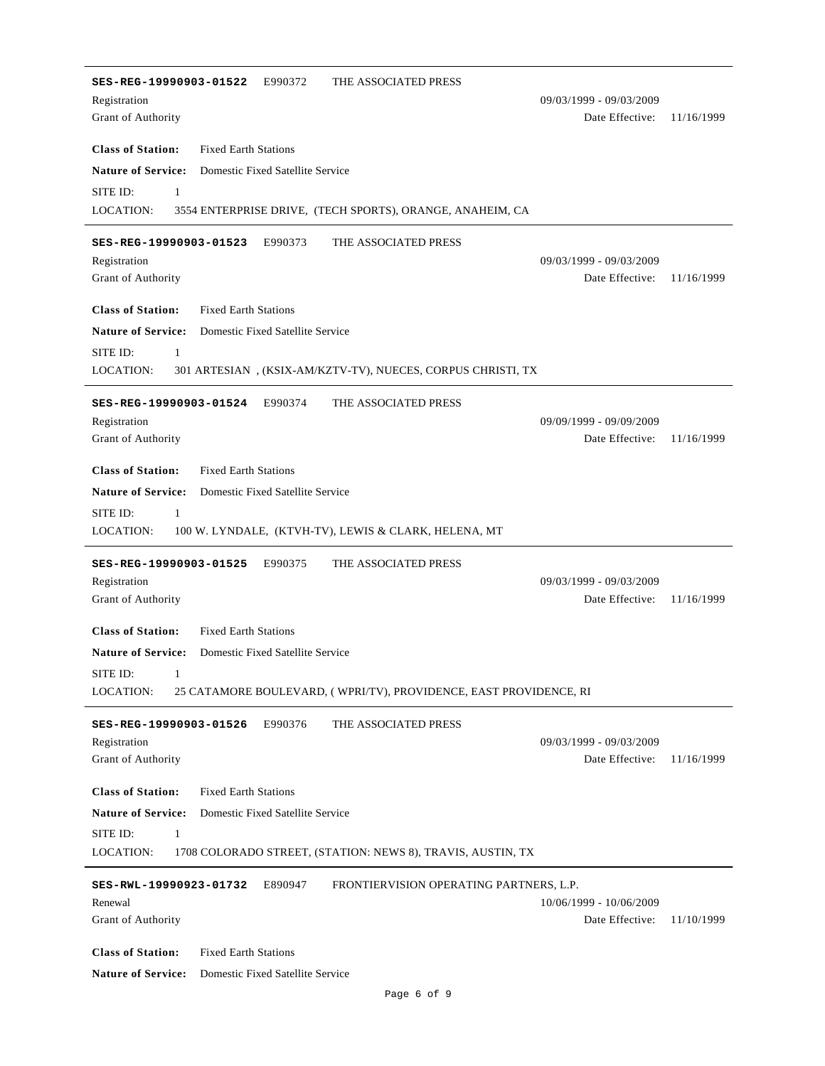| SES-REG-19990903-01522<br>THE ASSOCIATED PRESS<br>E990372                             |                                            |            |
|---------------------------------------------------------------------------------------|--------------------------------------------|------------|
| Registration                                                                          | 09/03/1999 - 09/03/2009                    |            |
| Grant of Authority                                                                    | Date Effective:                            | 11/16/1999 |
| <b>Class of Station:</b><br><b>Fixed Earth Stations</b>                               |                                            |            |
| <b>Nature of Service:</b><br>Domestic Fixed Satellite Service                         |                                            |            |
| SITE ID:<br>1                                                                         |                                            |            |
| <b>LOCATION:</b><br>3554 ENTERPRISE DRIVE, (TECH SPORTS), ORANGE, ANAHEIM, CA         |                                            |            |
| SES-REG-19990903-01523 E990373<br>THE ASSOCIATED PRESS                                |                                            |            |
| Registration                                                                          | 09/03/1999 - 09/03/2009                    |            |
| Grant of Authority                                                                    | Date Effective:                            | 11/16/1999 |
| <b>Class of Station:</b><br><b>Fixed Earth Stations</b>                               |                                            |            |
| <b>Nature of Service:</b><br>Domestic Fixed Satellite Service                         |                                            |            |
| SITE ID:<br>1                                                                         |                                            |            |
| LOCATION:<br>301 ARTESIAN, (KSIX-AM/KZTV-TV), NUECES, CORPUS CHRISTI, TX              |                                            |            |
| SES-REG-19990903-01524 E990374<br>THE ASSOCIATED PRESS                                |                                            |            |
| Registration                                                                          | 09/09/1999 - 09/09/2009                    |            |
| Grant of Authority                                                                    | Date Effective:                            | 11/16/1999 |
| <b>Class of Station:</b><br><b>Fixed Earth Stations</b>                               |                                            |            |
| <b>Nature of Service:</b><br>Domestic Fixed Satellite Service                         |                                            |            |
| SITE ID:<br>$\mathbf{1}$                                                              |                                            |            |
| LOCATION:<br>100 W. LYNDALE, (KTVH-TV), LEWIS & CLARK, HELENA, MT                     |                                            |            |
|                                                                                       |                                            |            |
| THE ASSOCIATED PRESS<br>SES-REG-19990903-01525 E990375                                |                                            |            |
| Registration<br>Grant of Authority                                                    | 09/03/1999 - 09/03/2009<br>Date Effective: | 11/16/1999 |
|                                                                                       |                                            |            |
| <b>Class of Station:</b><br><b>Fixed Earth Stations</b>                               |                                            |            |
| <b>Nature of Service:</b> Domestic Fixed Satellite Service                            |                                            |            |
| SITE ID: 1                                                                            |                                            |            |
| 25 CATAMORE BOULEVARD, (WPRI/TV), PROVIDENCE, EAST PROVIDENCE, RI<br><b>LOCATION:</b> |                                            |            |
| E990376<br>THE ASSOCIATED PRESS<br>SES-REG-19990903-01526                             |                                            |            |
| Registration                                                                          | 09/03/1999 - 09/03/2009                    |            |
| Grant of Authority                                                                    | Date Effective:                            | 11/16/1999 |
| <b>Class of Station:</b><br><b>Fixed Earth Stations</b>                               |                                            |            |
| <b>Nature of Service:</b><br>Domestic Fixed Satellite Service                         |                                            |            |
| SITE ID:<br>$\mathbf{1}$                                                              |                                            |            |
| LOCATION:<br>1708 COLORADO STREET, (STATION: NEWS 8), TRAVIS, AUSTIN, TX              |                                            |            |
| FRONTIERVISION OPERATING PARTNERS, L.P.<br>E890947<br>SES-RWL-19990923-01732          |                                            |            |
| Renewal                                                                               | 10/06/1999 - 10/06/2009                    |            |
| Grant of Authority                                                                    | Date Effective:                            | 11/10/1999 |
|                                                                                       |                                            |            |
| <b>Class of Station:</b><br><b>Fixed Earth Stations</b>                               |                                            |            |
| <b>Nature of Service:</b><br>Domestic Fixed Satellite Service                         |                                            |            |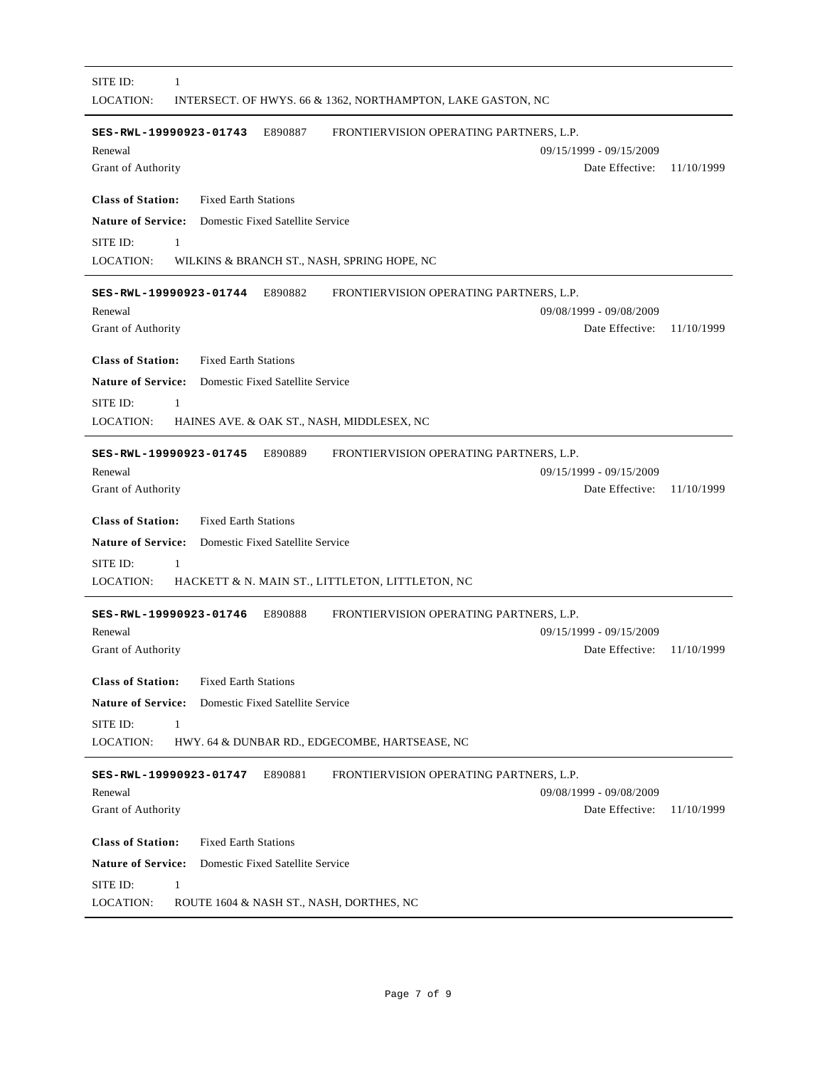| SITE ID:<br>1<br>LOCATION:<br>INTERSECT. OF HWYS. 66 & 1362, NORTHAMPTON, LAKE GASTON, NC                                                                                 |
|---------------------------------------------------------------------------------------------------------------------------------------------------------------------------|
| E890887<br>FRONTIERVISION OPERATING PARTNERS, L.P.<br>SES-RWL-19990923-01743<br>Renewal<br>09/15/1999 - 09/15/2009<br>Grant of Authority<br>Date Effective:<br>11/10/1999 |
| <b>Class of Station:</b><br><b>Fixed Earth Stations</b>                                                                                                                   |
| <b>Nature of Service:</b><br>Domestic Fixed Satellite Service                                                                                                             |
| SITE ID:<br>1                                                                                                                                                             |
| LOCATION:<br>WILKINS & BRANCH ST., NASH, SPRING HOPE, NC                                                                                                                  |
| E890882<br>FRONTIERVISION OPERATING PARTNERS, L.P.<br>SES-RWL-19990923-01744<br>Renewal<br>09/08/1999 - 09/08/2009<br>Date Effective:<br>Grant of Authority<br>11/10/1999 |
| <b>Class of Station:</b><br><b>Fixed Earth Stations</b>                                                                                                                   |
| <b>Nature of Service:</b><br>Domestic Fixed Satellite Service                                                                                                             |
| SITE ID:<br>1                                                                                                                                                             |
| <b>LOCATION:</b><br>HAINES AVE. & OAK ST., NASH, MIDDLESEX, NC                                                                                                            |
| SES-RWL-19990923-01745<br>E890889<br>FRONTIERVISION OPERATING PARTNERS, L.P.                                                                                              |
| 09/15/1999 - 09/15/2009<br>Renewal                                                                                                                                        |
| Date Effective:<br>Grant of Authority<br>11/10/1999                                                                                                                       |
| <b>Class of Station:</b><br><b>Fixed Earth Stations</b>                                                                                                                   |
| <b>Nature of Service:</b><br>Domestic Fixed Satellite Service                                                                                                             |
| SITE ID:<br>1                                                                                                                                                             |
| <b>LOCATION:</b><br>HACKETT & N. MAIN ST., LITTLETON, LITTLETON, NC                                                                                                       |
| FRONTIERVISION OPERATING PARTNERS, L.P.<br>E890888<br>SES-RWL-19990923-01746                                                                                              |
| 09/15/1999 - 09/15/2009<br>Renewal                                                                                                                                        |
| Date Effective:<br>Grant of Authority<br>11/10/1999                                                                                                                       |
| <b>Class of Station:</b><br><b>Fixed Earth Stations</b>                                                                                                                   |
| <b>Nature of Service:</b><br>Domestic Fixed Satellite Service                                                                                                             |
| SITE ID:<br>1                                                                                                                                                             |
| <b>LOCATION:</b><br>HWY. 64 & DUNBAR RD., EDGECOMBE, HARTSEASE, NC                                                                                                        |
|                                                                                                                                                                           |
| E890881<br>FRONTIERVISION OPERATING PARTNERS, L.P.<br>SES-RWL-19990923-01747<br>09/08/1999 - 09/08/2009<br>Renewal                                                        |
| Grant of Authority<br>Date Effective:<br>11/10/1999                                                                                                                       |
|                                                                                                                                                                           |
| <b>Class of Station:</b><br><b>Fixed Earth Stations</b>                                                                                                                   |
| <b>Nature of Service:</b><br>Domestic Fixed Satellite Service                                                                                                             |
| SITE ID:<br>$\mathbf{1}$                                                                                                                                                  |
| LOCATION:<br>ROUTE 1604 & NASH ST., NASH, DORTHES, NC                                                                                                                     |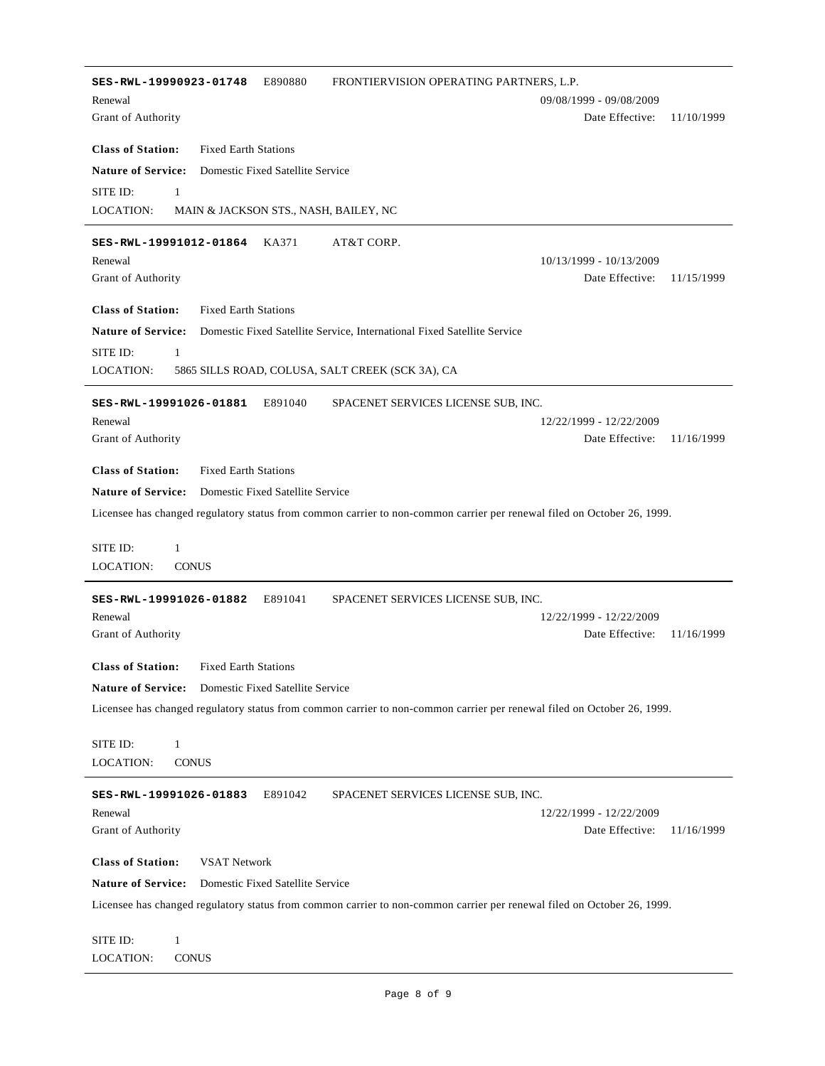**SES-RWL-19990923-01748** E890880 FRONTIERVISION OPERATING PARTNERS, L.P. Date Effective: 11/10/1999 **Class of Station:** Grant of Authority Fixed Earth Stations Renewal 09/08/1999 - 09/08/2009 **Nature of Service:** Domestic Fixed Satellite Service LOCATION: SITE ID: 1 MAIN & JACKSON STS., NASH, BAILEY, NC **SES-RWL-19991012-01864** KA371 AT&T CORP. Date Effective: 11/15/1999 **Class of Station:** Grant of Authority Fixed Earth Stations Renewal 10/13/1999 - 10/13/2009 **Nature of Service:** Domestic Fixed Satellite Service, International Fixed Satellite Service LOCATION: SITE ID: 1 5865 SILLS ROAD, COLUSA, SALT CREEK (SCK 3A), CA **SES-RWL-19991026-01881** E891040 SPACENET SERVICES LICENSE SUB, INC. Date Effective: 11/16/1999 **Class of Station:** Grant of Authority Fixed Earth Stations Renewal 12/22/1999 - 12/22/2009 **Nature of Service:** Domestic Fixed Satellite Service Licensee has changed regulatory status from common carrier to non-common carrier per renewal filed on October 26, 1999. LOCATION: SITE ID: 1 **CONUS SES-RWL-19991026-01882** E891041 SPACENET SERVICES LICENSE SUB, INC. Date Effective: 11/16/1999 **Class of Station:** Grant of Authority Fixed Earth Stations Renewal 12/22/1999 - 12/22/2009 **Nature of Service:** Domestic Fixed Satellite Service Licensee has changed regulatory status from common carrier to non-common carrier per renewal filed on October 26, 1999. LOCATION: SITE ID: 1 **CONUS SES-RWL-19991026-01883** E891042 SPACENET SERVICES LICENSE SUB, INC. Date Effective: 11/16/1999 **Class of Station:** Grant of Authority VSAT Network Renewal 12/22/1999 - 12/22/2009 **Nature of Service:** Domestic Fixed Satellite Service Licensee has changed regulatory status from common carrier to non-common carrier per renewal filed on October 26, 1999. LOCATION: SITE ID: 1 **CONUS**